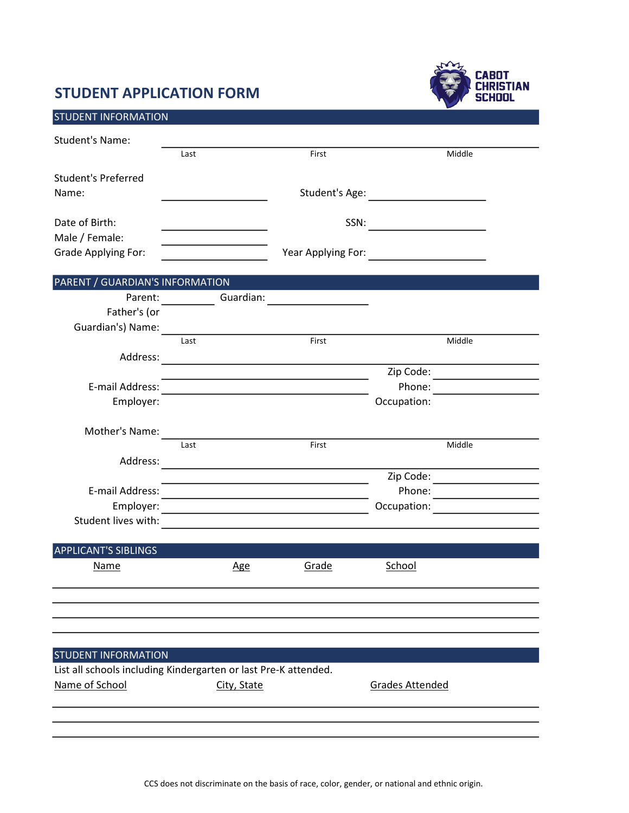## STUDENT APPLICATION FORM



| <b>STUDENT INFORMATION</b>                                      |                                                                                                                                                                                                                                |                                                                                           |                                                   |
|-----------------------------------------------------------------|--------------------------------------------------------------------------------------------------------------------------------------------------------------------------------------------------------------------------------|-------------------------------------------------------------------------------------------|---------------------------------------------------|
| <b>Student's Name:</b>                                          |                                                                                                                                                                                                                                |                                                                                           |                                                   |
|                                                                 | Last                                                                                                                                                                                                                           | First                                                                                     | Middle                                            |
| <b>Student's Preferred</b>                                      |                                                                                                                                                                                                                                |                                                                                           |                                                   |
| Name:                                                           |                                                                                                                                                                                                                                |                                                                                           | Student's Age: <u>_____________________</u>       |
|                                                                 |                                                                                                                                                                                                                                |                                                                                           |                                                   |
| Date of Birth:                                                  |                                                                                                                                                                                                                                |                                                                                           |                                                   |
| Male / Female:                                                  | the control of the control of the control of the control of                                                                                                                                                                    |                                                                                           |                                                   |
| <b>Grade Applying For:</b>                                      | <u> 1980 - Johann Barbara, martxa a</u>                                                                                                                                                                                        |                                                                                           |                                                   |
| PARENT / GUARDIAN'S INFORMATION                                 |                                                                                                                                                                                                                                |                                                                                           |                                                   |
|                                                                 | Guardian:<br>Parent:                                                                                                                                                                                                           |                                                                                           |                                                   |
| Father's (or                                                    |                                                                                                                                                                                                                                |                                                                                           |                                                   |
|                                                                 | Guardian's) Name: Annual Marian Communication of the Communication of the Communication of the Communication of the Communication of the Communication of the Communication of the Communication of the Communication of the C | First                                                                                     |                                                   |
|                                                                 | Last                                                                                                                                                                                                                           |                                                                                           | Middle                                            |
| Address:                                                        |                                                                                                                                                                                                                                |                                                                                           | Zip Code: _____________________                   |
| E-mail Address:                                                 |                                                                                                                                                                                                                                |                                                                                           | Phone:                                            |
| Employer:                                                       |                                                                                                                                                                                                                                |                                                                                           | Occupation:                                       |
|                                                                 |                                                                                                                                                                                                                                |                                                                                           |                                                   |
| Mother's Name:                                                  |                                                                                                                                                                                                                                |                                                                                           |                                                   |
|                                                                 | Last                                                                                                                                                                                                                           | First                                                                                     | Middle                                            |
| Address:                                                        |                                                                                                                                                                                                                                | the control of the control of the control of the control of the control of the control of |                                                   |
| E-mail Address:                                                 |                                                                                                                                                                                                                                |                                                                                           |                                                   |
| Employer:                                                       | <u> 1980 - Johann John Stone, markin fizikar (h. 1980).</u><br><u> 1989 - Johann Barn, amerikansk politiker (d. 1989)</u>                                                                                                      |                                                                                           | Phone:<br>Occupation: <u>____________________</u> |
|                                                                 |                                                                                                                                                                                                                                |                                                                                           |                                                   |
|                                                                 |                                                                                                                                                                                                                                |                                                                                           |                                                   |
| <b>APPLICANT'S SIBLINGS</b>                                     |                                                                                                                                                                                                                                |                                                                                           |                                                   |
| <b>Name</b>                                                     | <b>Age</b>                                                                                                                                                                                                                     | Grade                                                                                     | School                                            |
|                                                                 |                                                                                                                                                                                                                                |                                                                                           |                                                   |
|                                                                 |                                                                                                                                                                                                                                |                                                                                           |                                                   |
|                                                                 |                                                                                                                                                                                                                                |                                                                                           |                                                   |
|                                                                 |                                                                                                                                                                                                                                |                                                                                           |                                                   |
| <b>STUDENT INFORMATION</b>                                      |                                                                                                                                                                                                                                |                                                                                           |                                                   |
| List all schools including Kindergarten or last Pre-K attended. |                                                                                                                                                                                                                                |                                                                                           |                                                   |
| Name of School                                                  | City, State                                                                                                                                                                                                                    |                                                                                           | <b>Grades Attended</b>                            |
|                                                                 |                                                                                                                                                                                                                                |                                                                                           |                                                   |
|                                                                 |                                                                                                                                                                                                                                |                                                                                           |                                                   |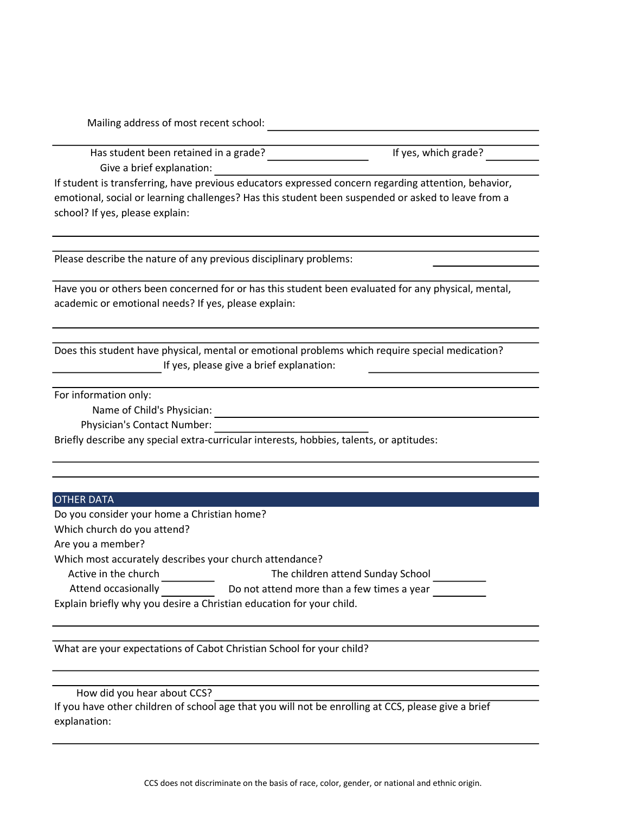Mailing address of most recent school:

Has student been retained in a grade? If yes, which grade? Give a brief explanation:

If student is transferring, have previous educators expressed concern regarding attention, behavior, emotional, social or learning challenges? Has this student been suspended or asked to leave from a school? If yes, please explain:

Please describe the nature of any previous disciplinary problems:

Have you or others been concerned for or has this student been evaluated for any physical, mental, academic or emotional needs? If yes, please explain:

If yes, please give a brief explanation: Does this student have physical, mental or emotional problems which require special medication?

For information only:

Name of Child's Physician:

Physician's Contact Number:

Briefly describe any special extra-curricular interests, hobbies, talents, or aptitudes:

## OTHER DATA

Do you consider your home a Christian home?

Which church do you attend?

Are you a member?

Which most accurately describes your church attendance?

Active in the church The children attend Sunday School

Attend occasionally Do not attend more than a few times a year

Explain briefly why you desire a Christian education for your child.

What are your expectations of Cabot Christian School for your child?

How did you hear about CCS?

If you have other children of school age that you will not be enrolling at CCS, please give a brief explanation: